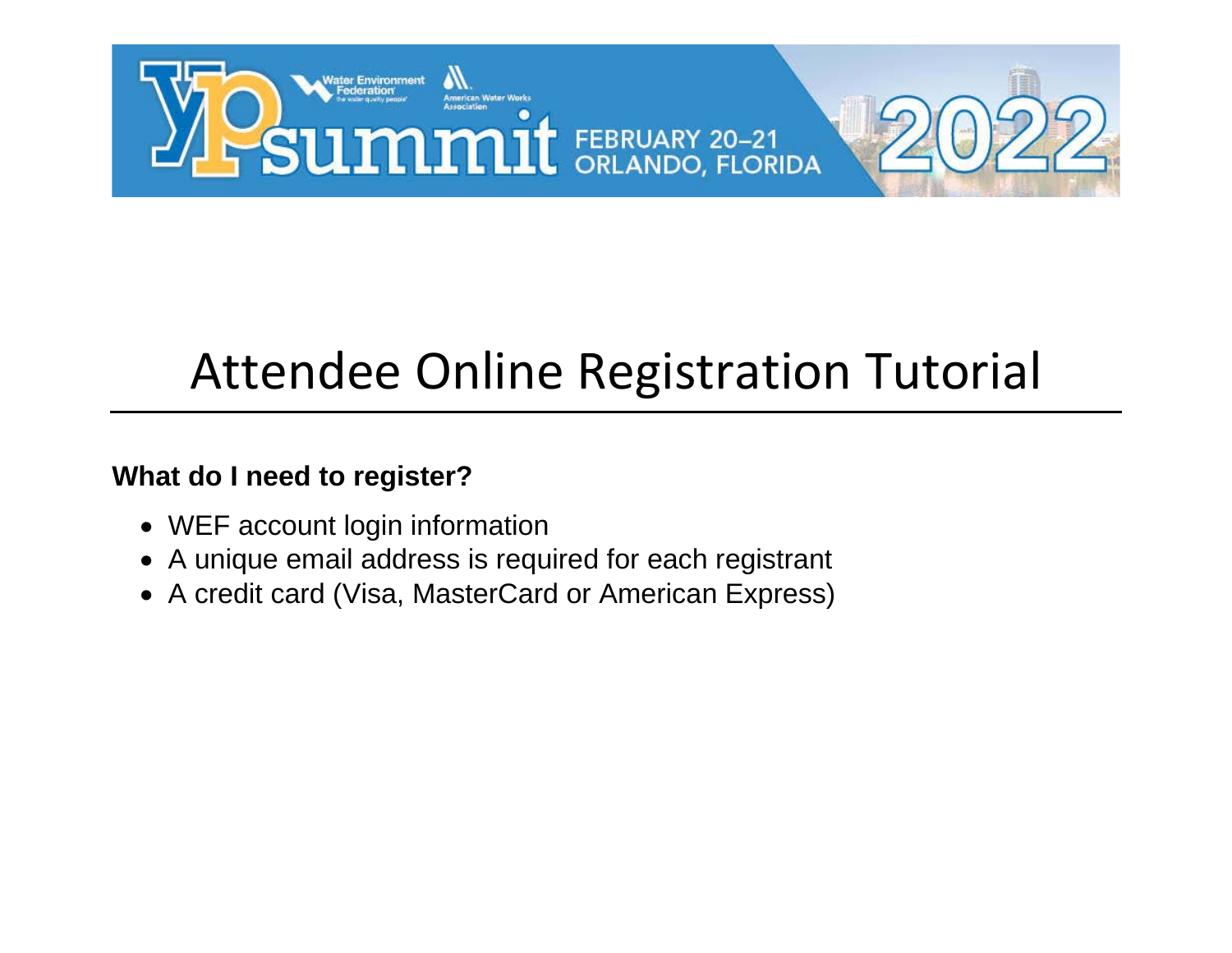

## Attendee Online Registration Tutorial

#### **What do I need to register?**

- WEF account login information
- A unique email address is required for each registrant
- A credit card (Visa, MasterCard or American Express)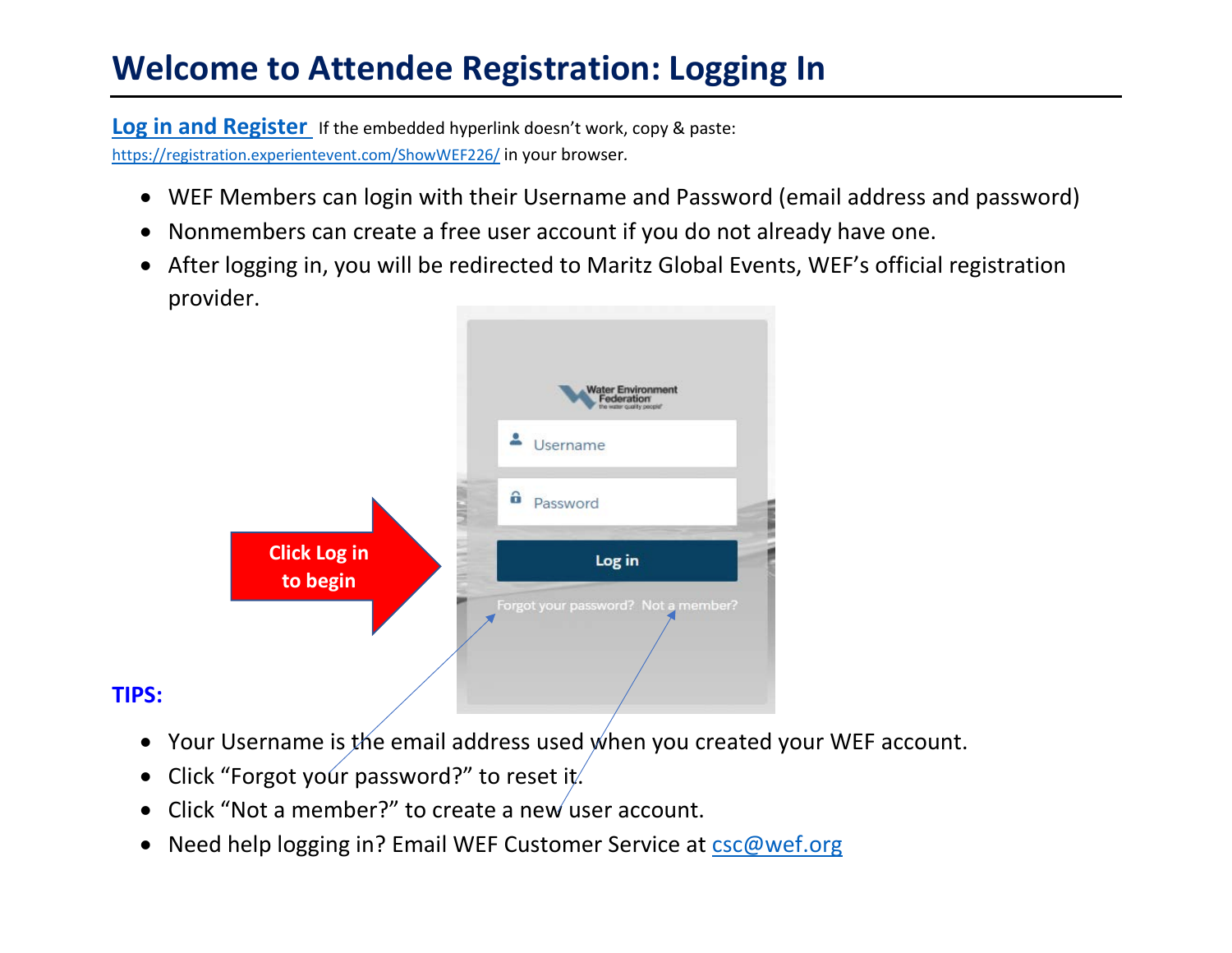#### **Welcome to Attendee Registration: Logging In**

**Log [in and Register](https://registration.experientevent.com/ShowWEF226/)** If the embedded hyperlink doesn't work, copy & paste: <https://registration.experientevent.com/ShowWEF226/> in your browser*.*

- WEF Members can login with their Username and Password (email address and password)
- Nonmembers can create a free user account if you do not already have one.
- After logging in, you will be redirected to Maritz Global Events, WEF's official registration provider.



#### **TIPS:**

- Your Username is the email address used when you created your WEF account.
- Click "Forgot your password?" to reset it.
- Click "Not a member?" to create a new user account.
- Need help logging in? Email WEF Customer Service at csc@wef.org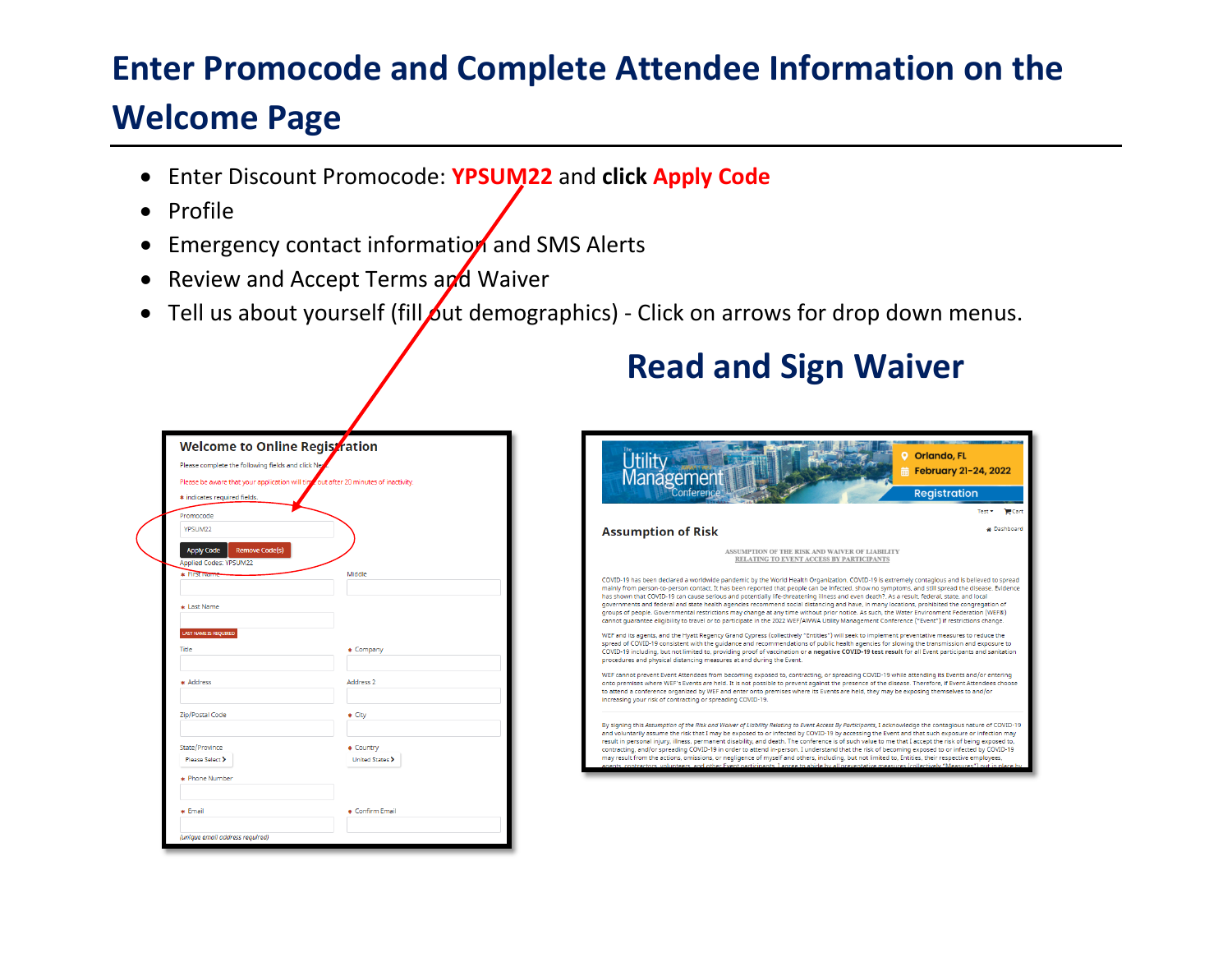### **Enter Promocode and Complete Attendee Information on the**

#### **Welcome Page**

- Enter Discount Promocode: **YPSUM22** and **click Apply Code**
- Profile
- Emergency contact information and SMS Alerts
- Review and Accept Terms and Waiver
- Tell us about yourself (fill out demographics) Click on arrows for drop down menus.

| Welcome to Online Registration                                                      |                      |
|-------------------------------------------------------------------------------------|----------------------|
| Please complete the following fields and click Ney                                  |                      |
| Please be aware that your application will time out after 20 minutes of inactivity. |                      |
| * indicates required fields.                                                        |                      |
| Promocode                                                                           |                      |
| YPSUM22                                                                             |                      |
| <b>Apply Code</b><br><b>Remove Code(s)</b>                                          |                      |
| <b>Applied Codes: YPSUM22</b>                                                       |                      |
| <b>*</b> First Name                                                                 | Middle               |
|                                                                                     |                      |
| * Last Name                                                                         |                      |
| LAST NAME IS REQUIRED                                                               |                      |
| Title                                                                               | * Company            |
|                                                                                     |                      |
| * Address                                                                           | Address <sub>2</sub> |
|                                                                                     |                      |
| Zip/Postal Code                                                                     | * City               |
|                                                                                     |                      |
| State/Province                                                                      | * Country            |
| Please Select >                                                                     | United States >      |
| * Phone Number                                                                      |                      |
|                                                                                     |                      |
| * Email                                                                             | * Confirm Email      |
|                                                                                     |                      |

#### **Read and Sign Waiver**

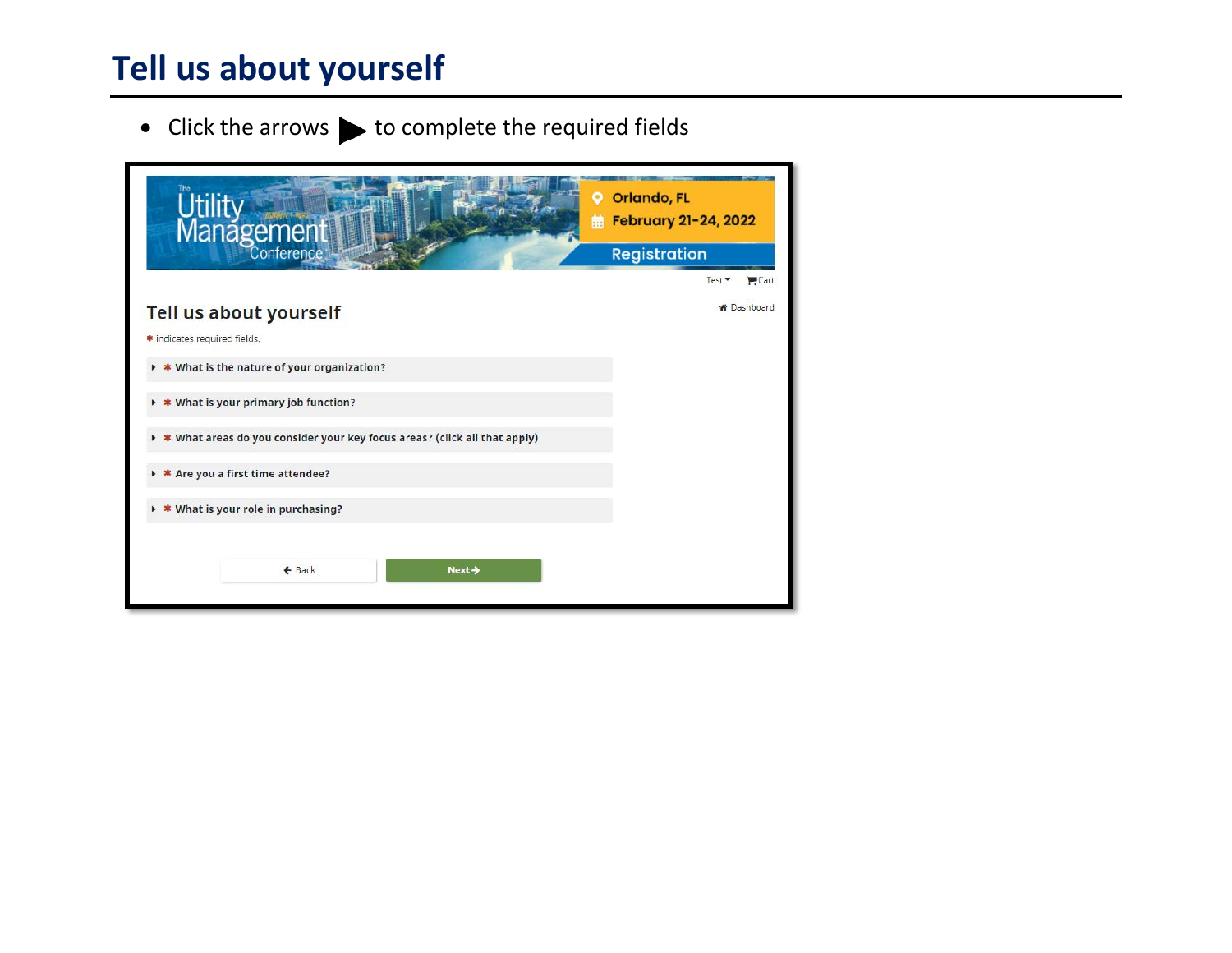#### **Tell us about yourself**

 $\bullet$  Click the arrows  $\blacktriangleright$  to complete the required fields

| Management                                                                     | <b>Orlando, FL</b><br>$\bullet$<br>February 21-24, 2022<br>曲 |  |
|--------------------------------------------------------------------------------|--------------------------------------------------------------|--|
|                                                                                | <b>Registration</b>                                          |  |
|                                                                                | Cart<br>Test <sup>*</sup>                                    |  |
| Tell us about yourself                                                         | <b><i>K</i></b> Dashboard                                    |  |
| * indicates required fields.                                                   |                                                              |  |
| * What is the nature of your organization?<br>٠                                |                                                              |  |
| * What is your primary job function?<br>٠                                      |                                                              |  |
| * What areas do you consider your key focus areas? (click all that apply)<br>٠ |                                                              |  |
| * * Are you a first time attendee?                                             |                                                              |  |
| $\triangleright$ <b>*</b> What is your role in purchasing?                     |                                                              |  |
|                                                                                |                                                              |  |
| $\leftarrow$ Back<br>Next $\rightarrow$                                        |                                                              |  |
|                                                                                |                                                              |  |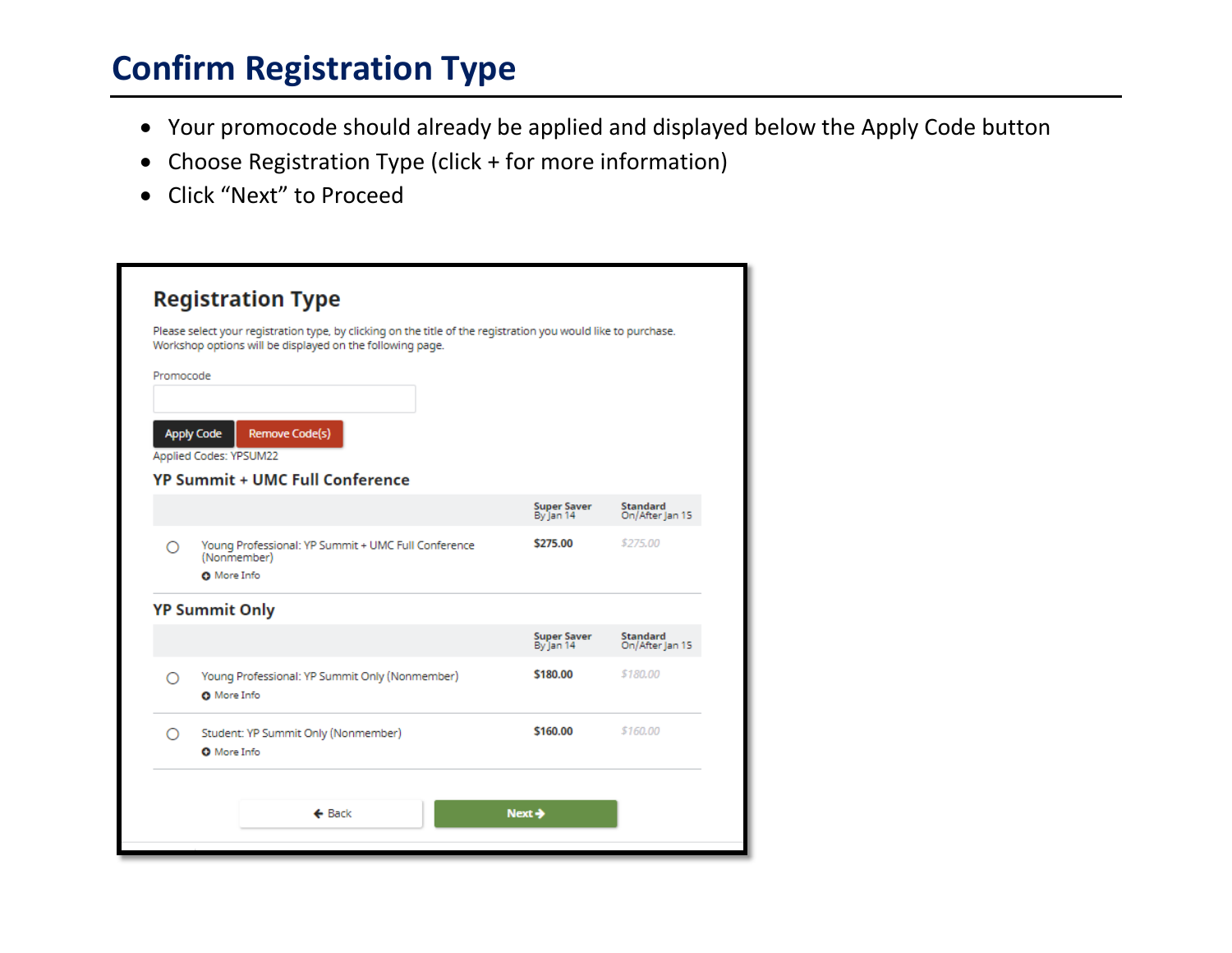#### **Confirm Registration Type**

- Your promocode should already be applied and displayed below the Apply Code button
- Choose Registration Type (click + for more information)
- Click "Next" to Proceed

| Please select your registration type, by clicking on the title of the registration you would like to purchase.<br>Workshop options will be displayed on the following page. |                                                                                          |                                 |                             |  |  |  |  |  |
|-----------------------------------------------------------------------------------------------------------------------------------------------------------------------------|------------------------------------------------------------------------------------------|---------------------------------|-----------------------------|--|--|--|--|--|
| Promocode                                                                                                                                                                   |                                                                                          |                                 |                             |  |  |  |  |  |
|                                                                                                                                                                             | Remove Code(s)<br><b>Apply Code</b><br>Applied Codes: YPSUM22                            |                                 |                             |  |  |  |  |  |
|                                                                                                                                                                             | <b>YP Summit + UMC Full Conference</b>                                                   |                                 |                             |  |  |  |  |  |
|                                                                                                                                                                             |                                                                                          | Super Saver<br>By Jan 14        | Standard<br>On/After Jan 15 |  |  |  |  |  |
| ∩                                                                                                                                                                           | Young Professional: YP Summit + UMC Full Conference<br>(Nonmember)<br><b>O</b> More Info | \$275.00                        | \$275.00                    |  |  |  |  |  |
|                                                                                                                                                                             | <b>YP Summit Only</b>                                                                    |                                 |                             |  |  |  |  |  |
|                                                                                                                                                                             |                                                                                          | <b>Super Saver</b><br>By Jan 14 | Standard<br>On/After Jan 15 |  |  |  |  |  |
| ∩                                                                                                                                                                           | Young Professional: YP Summit Only (Nonmember)<br><b>O</b> More Info                     | <b>S180.00</b>                  | \$180.00                    |  |  |  |  |  |
| ∩                                                                                                                                                                           | Student: YP Summit Only (Nonmember)                                                      | \$160.00                        | \$160.00                    |  |  |  |  |  |
|                                                                                                                                                                             | <b>O</b> More Info                                                                       |                                 |                             |  |  |  |  |  |
|                                                                                                                                                                             |                                                                                          |                                 |                             |  |  |  |  |  |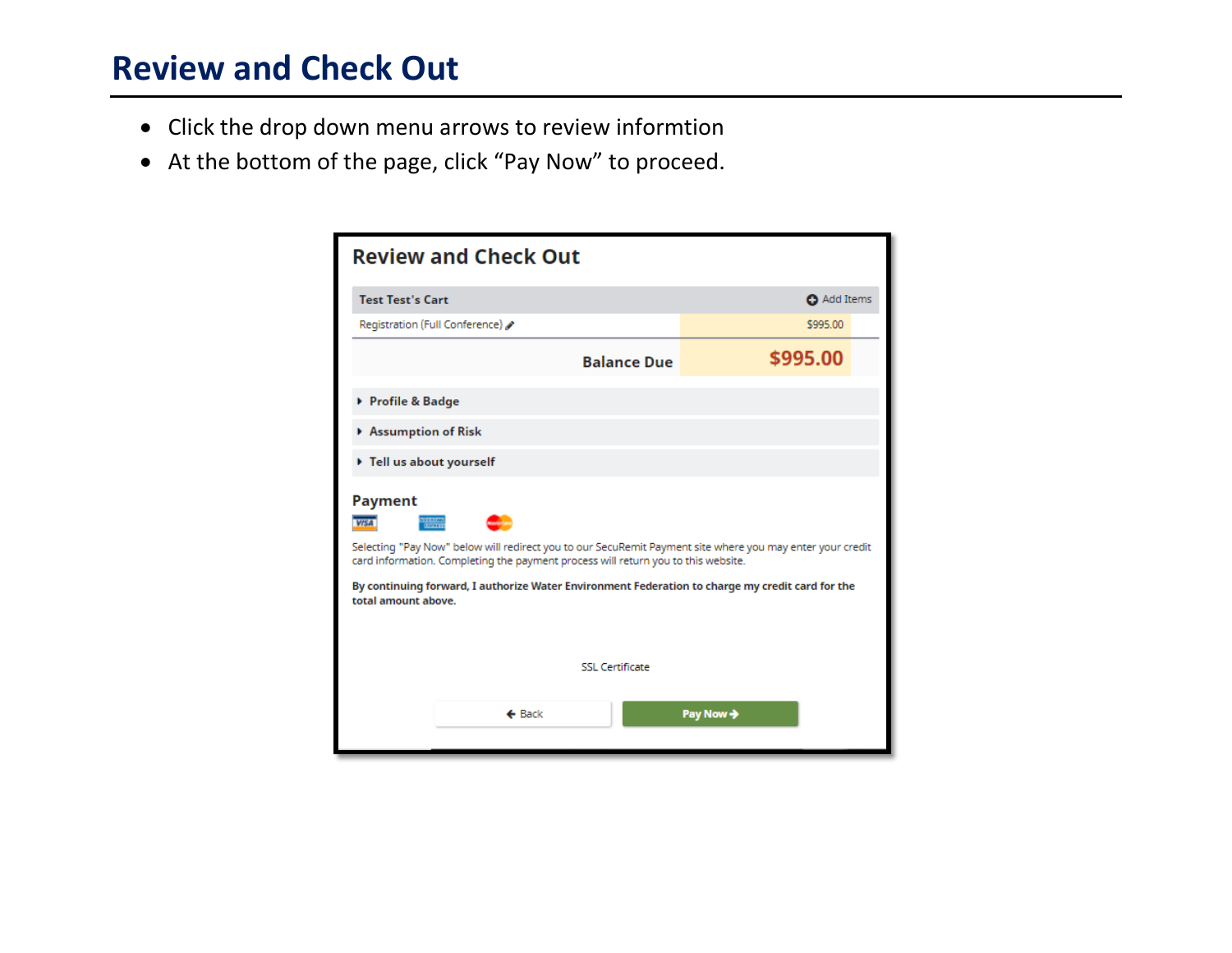#### **Review and Check Out**

- Click the drop down menu arrows to review informtion
- At the bottom of the page, click "Pay Now" to proceed.

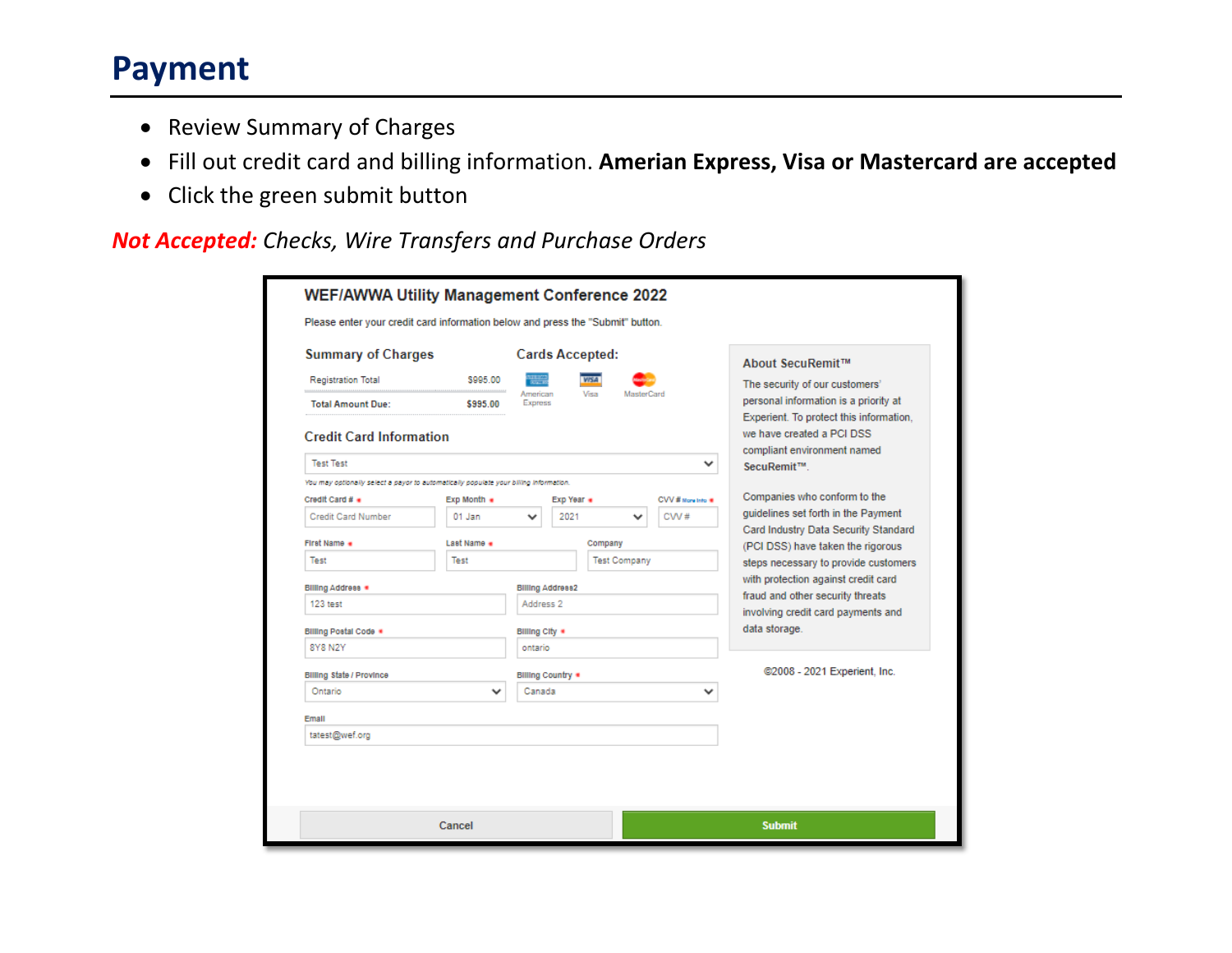#### **Payment**

- Review Summary of Charges
- Fill out credit card and billing information. **Amerian Express, Visa or Mastercard are accepted**
- Click the green submit button

*Not Accepted: Checks, Wire Transfers and Purchase Orders*

| <b>Summary of Charges</b>                                                             |                           |                            | <b>Cards Accepted:</b>  |         |                     |                              | About SecuRemit™                                                                                                  |
|---------------------------------------------------------------------------------------|---------------------------|----------------------------|-------------------------|---------|---------------------|------------------------------|-------------------------------------------------------------------------------------------------------------------|
| <b>Registration Total</b>                                                             | \$995.00                  |                            |                         |         |                     |                              | The security of our customers'                                                                                    |
| <b>Total Amount Due:</b>                                                              | \$995.00                  | American<br><b>Express</b> |                         | Visa    | MasterCard          |                              | personal information is a priority at                                                                             |
|                                                                                       |                           |                            |                         |         |                     |                              | Experient. To protect this information,                                                                           |
| <b>Credit Card Information</b>                                                        |                           |                            |                         |         |                     |                              | we have created a PCI DSS                                                                                         |
| <b>Test Test</b>                                                                      |                           |                            |                         |         |                     |                              | compliant environment named<br>SecuRemit™.                                                                        |
| You may optionally select a payor to automatically populate your billing information. |                           |                            |                         |         |                     |                              |                                                                                                                   |
| Credit Card # .                                                                       | $Exp$ Month $\bullet$     |                            | Exp Year .              |         |                     | CVV # Norw Into #            | Companies who conform to the                                                                                      |
| <b>Credit Card Number</b>                                                             | 01 Jan                    |                            | 2021                    |         | v                   | $CVM \#$                     | quidelines set forth in the Payment                                                                               |
| First Name .                                                                          | Last Name .               |                            |                         | Company | <b>Test Company</b> |                              | Card Industry Data Security Standard<br>(PCI DSS) have taken the rigorous<br>steps necessary to provide customers |
| Test                                                                                  | Test                      |                            |                         |         |                     |                              |                                                                                                                   |
| <b>Billing Address *</b>                                                              |                           |                            | <b>Billing Address2</b> |         |                     |                              | with protection against credit card                                                                               |
| 123 test                                                                              |                           |                            | Address <sub>2</sub>    |         |                     |                              | fraud and other security threats                                                                                  |
|                                                                                       |                           |                            |                         |         |                     |                              | involving credit card payments and<br>data storage.                                                               |
| Billing Postal Code .<br>8Y8 N2Y                                                      |                           | Billing City *<br>ontario  |                         |         |                     |                              |                                                                                                                   |
|                                                                                       |                           |                            |                         |         |                     | @2008 - 2021 Experient, Inc. |                                                                                                                   |
| <b>Billing State / Province</b><br>Ontario                                            | Billing Country<br>Canada |                            |                         |         |                     |                              |                                                                                                                   |
|                                                                                       | v                         |                            |                         |         |                     |                              |                                                                                                                   |
| Email                                                                                 |                           |                            |                         |         |                     |                              |                                                                                                                   |
| tatest@wef.org                                                                        |                           |                            |                         |         |                     |                              |                                                                                                                   |
|                                                                                       |                           |                            |                         |         |                     |                              |                                                                                                                   |